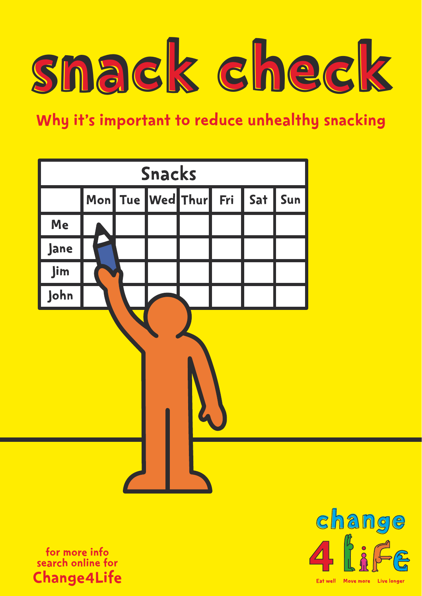

Why it's important to reduce unhealthy snacking



for more info search online for Change4Life



Eat well Move more Live longer